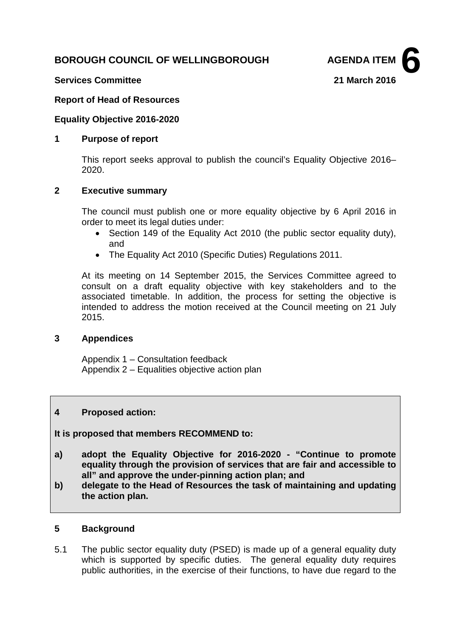# **BOROUGH COUNCIL OF WELLINGBOROUGH AGENDA ITEM**



## **Services Committee 21 March 2016**

### **Report of Head of Resources**

#### **Equality Objective 2016-2020**

#### **1 Purpose of report**

This report seeks approval to publish the council's Equality Objective 2016– 2020.

#### **2 Executive summary**

The council must publish one or more equality objective by 6 April 2016 in order to meet its legal duties under:

- Section 149 of the Equality Act 2010 (the public sector equality duty), and
- The Equality Act 2010 (Specific Duties) Regulations 2011.

At its meeting on 14 September 2015, the Services Committee agreed to consult on a draft equality objective with key stakeholders and to the associated timetable. In addition, the process for setting the objective is intended to address the motion received at the Council meeting on 21 July 2015.

#### **3 Appendices**

Appendix 1 – Consultation feedback Appendix 2 – Equalities objective action plan

#### **4 Proposed action:**

**It is proposed that members RECOMMEND to:**

- **a) adopt the Equality Objective for 2016-2020 - "Continue to promote equality through the provision of services that are fair and accessible to all" and approve the under-pinning action plan; and**
- **b) delegate to the Head of Resources the task of maintaining and updating the action plan.**

#### **5 Background**

5.1 The public sector equality duty (PSED) is made up of a general equality duty which is supported by specific duties. The general equality duty requires public authorities, in the exercise of their functions, to have due regard to the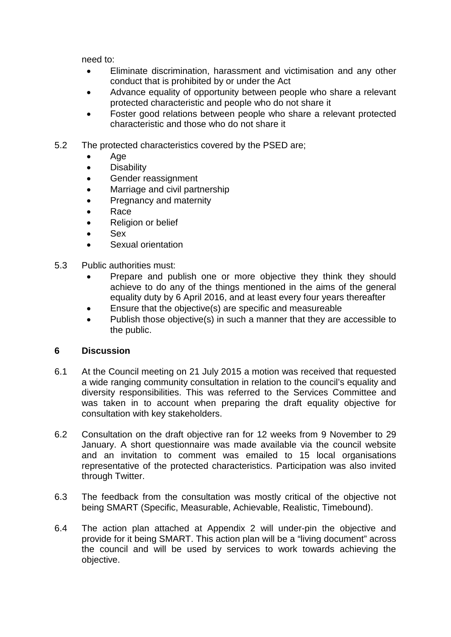need to:

- Eliminate discrimination, harassment and victimisation and any other conduct that is prohibited by or under the Act
- Advance equality of opportunity between people who share a relevant protected characteristic and people who do not share it
- Foster good relations between people who share a relevant protected characteristic and those who do not share it
- 5.2 The protected characteristics covered by the PSED are;
	- Age
	- Disability
	- Gender reassignment
	- Marriage and civil partnership
	- Pregnancy and maternity
	- Race
	- Religion or belief
	- Sex
	- Sexual orientation
- 5.3 Public authorities must:
	- Prepare and publish one or more objective they think they should achieve to do any of the things mentioned in the aims of the general equality duty by 6 April 2016, and at least every four years thereafter
	- Ensure that the objective(s) are specific and measureable
	- Publish those objective(s) in such a manner that they are accessible to the public.

### **6 Discussion**

- 6.1 At the Council meeting on 21 July 2015 a motion was received that requested a wide ranging community consultation in relation to the council's equality and diversity responsibilities. This was referred to the Services Committee and was taken in to account when preparing the draft equality objective for consultation with key stakeholders.
- 6.2 Consultation on the draft objective ran for 12 weeks from 9 November to 29 January. A short questionnaire was made available via the council website and an invitation to comment was emailed to 15 local organisations representative of the protected characteristics. Participation was also invited through Twitter.
- 6.3 The feedback from the consultation was mostly critical of the objective not being SMART (Specific, Measurable, Achievable, Realistic, Timebound).
- 6.4 The action plan attached at Appendix 2 will under-pin the objective and provide for it being SMART. This action plan will be a "living document" across the council and will be used by services to work towards achieving the objective.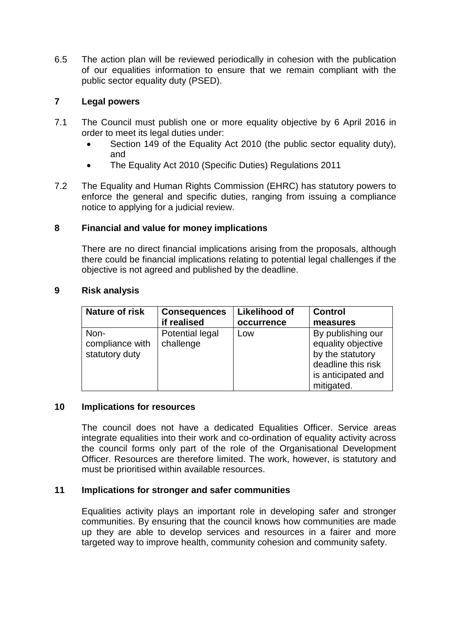6.5 The action plan will be reviewed periodically in cohesion with the publication of our equalities information to ensure that we remain compliant with the public sector equality duty (PSED).

# **7 Legal powers**

- 7.1 The Council must publish one or more equality objective by 6 April 2016 in order to meet its legal duties under:
	- Section 149 of the Equality Act 2010 (the public sector equality duty), and
	- The Equality Act 2010 (Specific Duties) Regulations 2011
- 7.2 The Equality and Human Rights Commission (EHRC) has statutory powers to enforce the general and specific duties, ranging from issuing a compliance notice to applying for a judicial review.

### **8 Financial and value for money implications**

There are no direct financial implications arising from the proposals, although there could be financial implications relating to potential legal challenges if the objective is not agreed and published by the deadline.

| <b>Nature of risk</b>                     | <b>Consequences</b>          | <b>Likelihood of</b> | <b>Control</b>                                                                                                        |
|-------------------------------------------|------------------------------|----------------------|-----------------------------------------------------------------------------------------------------------------------|
|                                           | if realised                  | occurrence           | measures                                                                                                              |
| Non-<br>compliance with<br>statutory duty | Potential legal<br>challenge | Low                  | By publishing our<br>equality objective<br>by the statutory<br>deadline this risk<br>is anticipated and<br>mitigated. |

### **9 Risk analysis**

### **10 Implications for resources**

The council does not have a dedicated Equalities Officer. Service areas integrate equalities into their work and co-ordination of equality activity across the council forms only part of the role of the Organisational Development Officer. Resources are therefore limited. The work, however, is statutory and must be prioritised within available resources.

# **11 Implications for stronger and safer communities**

Equalities activity plays an important role in developing safer and stronger communities. By ensuring that the council knows how communities are made up they are able to develop services and resources in a fairer and more targeted way to improve health, community cohesion and community safety.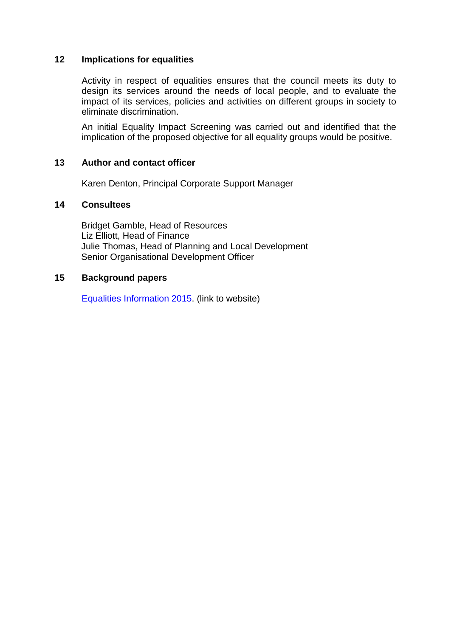### **12 Implications for equalities**

Activity in respect of equalities ensures that the council meets its duty to design its services around the needs of local people, and to evaluate the impact of its services, policies and activities on different groups in society to eliminate discrimination.

An initial Equality Impact Screening was carried out and identified that the implication of the proposed objective for all equality groups would be positive.

#### **13 Author and contact officer**

Karen Denton, Principal Corporate Support Manager

### **14 Consultees**

Bridget Gamble, Head of Resources Liz Elliott, Head of Finance Julie Thomas, Head of Planning and Local Development Senior Organisational Development Officer

#### **15 Background papers**

[Equalities Information 2015.](http://www.wellingborough.gov.uk/downloads/file/6040/equalities_information_january_2015) (link to website)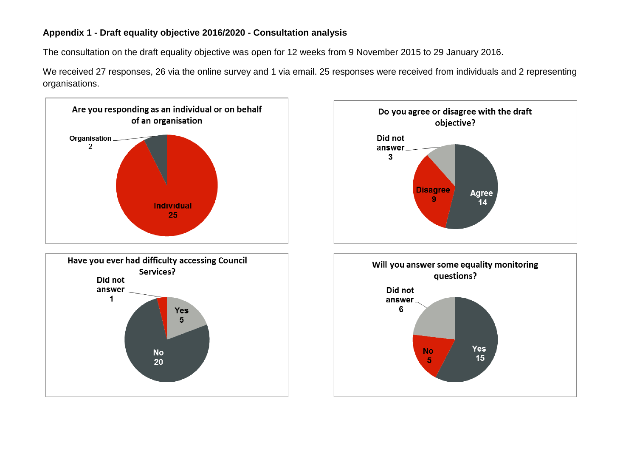# **Appendix 1 - Draft equality objective 2016/2020 - Consultation analysis**

The consultation on the draft equality objective was open for 12 weeks from 9 November 2015 to 29 January 2016.

We received 27 responses, 26 via the online survey and 1 via email. 25 responses were received from individuals and 2 representing organisations.

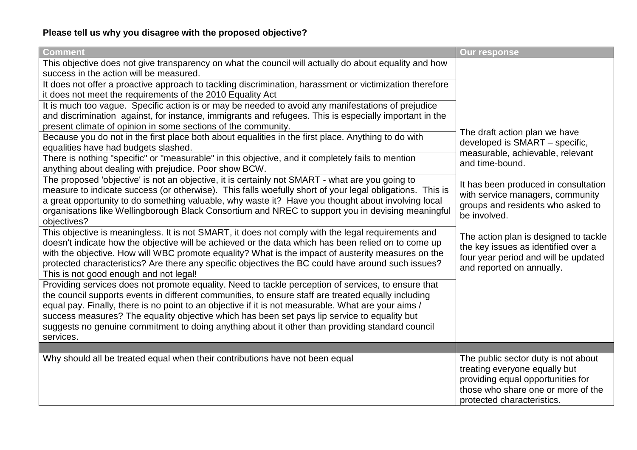# **Please tell us why you disagree with the proposed objective?**

| Comment                                                                                                                                                                                                                                                                                                                                                                                                                                                                                                                           | <b>Our response</b>                                                                                                                                                           |
|-----------------------------------------------------------------------------------------------------------------------------------------------------------------------------------------------------------------------------------------------------------------------------------------------------------------------------------------------------------------------------------------------------------------------------------------------------------------------------------------------------------------------------------|-------------------------------------------------------------------------------------------------------------------------------------------------------------------------------|
| This objective does not give transparency on what the council will actually do about equality and how<br>success in the action will be measured.                                                                                                                                                                                                                                                                                                                                                                                  |                                                                                                                                                                               |
| It does not offer a proactive approach to tackling discrimination, harassment or victimization therefore<br>it does not meet the requirements of the 2010 Equality Act                                                                                                                                                                                                                                                                                                                                                            |                                                                                                                                                                               |
| It is much too vague. Specific action is or may be needed to avoid any manifestations of prejudice<br>and discrimination against, for instance, immigrants and refugees. This is especially important in the                                                                                                                                                                                                                                                                                                                      |                                                                                                                                                                               |
| present climate of opinion in some sections of the community.                                                                                                                                                                                                                                                                                                                                                                                                                                                                     |                                                                                                                                                                               |
| Because you do not in the first place both about equalities in the first place. Anything to do with<br>equalities have had budgets slashed.                                                                                                                                                                                                                                                                                                                                                                                       | The draft action plan we have<br>developed is SMART - specific,<br>measurable, achievable, relevant                                                                           |
| There is nothing "specific" or "measurable" in this objective, and it completely fails to mention<br>anything about dealing with prejudice. Poor show BCW.                                                                                                                                                                                                                                                                                                                                                                        | and time-bound.                                                                                                                                                               |
| The proposed 'objective' is not an objective, it is certainly not SMART - what are you going to<br>measure to indicate success (or otherwise). This falls woefully short of your legal obligations. This is<br>a great opportunity to do something valuable, why waste it? Have you thought about involving local<br>organisations like Wellingborough Black Consortium and NREC to support you in devising meaningful<br>objectives?                                                                                             | It has been produced in consultation<br>with service managers, community<br>groups and residents who asked to<br>be involved.                                                 |
| This objective is meaningless. It is not SMART, it does not comply with the legal requirements and<br>doesn't indicate how the objective will be achieved or the data which has been relied on to come up<br>with the objective. How will WBC promote equality? What is the impact of austerity measures on the<br>protected characteristics? Are there any specific objectives the BC could have around such issues?<br>This is not good enough and not legal!                                                                   | The action plan is designed to tackle<br>the key issues as identified over a<br>four year period and will be updated<br>and reported on annually.                             |
| Providing services does not promote equality. Need to tackle perception of services, to ensure that<br>the council supports events in different communities, to ensure staff are treated equally including<br>equal pay. Finally, there is no point to an objective if it is not measurable. What are your aims /<br>success measures? The equality objective which has been set pays lip service to equality but<br>suggests no genuine commitment to doing anything about it other than providing standard council<br>services. |                                                                                                                                                                               |
|                                                                                                                                                                                                                                                                                                                                                                                                                                                                                                                                   |                                                                                                                                                                               |
| Why should all be treated equal when their contributions have not been equal                                                                                                                                                                                                                                                                                                                                                                                                                                                      | The public sector duty is not about<br>treating everyone equally but<br>providing equal opportunities for<br>those who share one or more of the<br>protected characteristics. |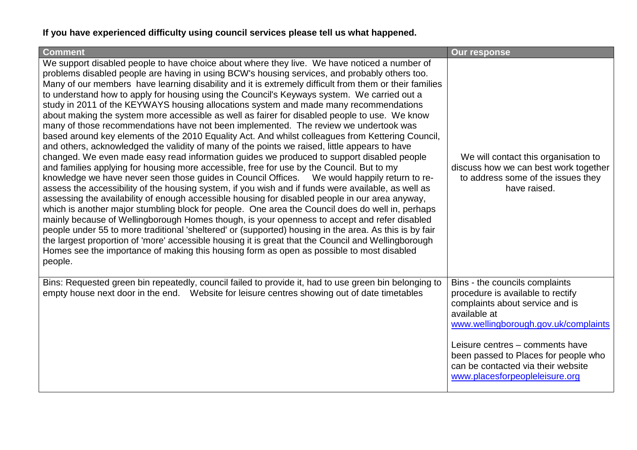# **If you have experienced difficulty using council services please tell us what happened.**

| <b>Comment</b>                                                                                                                                                                                                                                                                                                                                                                                                                                                                                                                                                                                                                                                                                                                                                                                                                                                                                                                                                                                                                                                                                                                                                                                                                                                                                                                                                                                                                                                                                                                                                                                                                                                                                                                                                                                                                                                                                                                   | <b>Our response</b>                                                                                                                                                                                                                                                                                               |
|----------------------------------------------------------------------------------------------------------------------------------------------------------------------------------------------------------------------------------------------------------------------------------------------------------------------------------------------------------------------------------------------------------------------------------------------------------------------------------------------------------------------------------------------------------------------------------------------------------------------------------------------------------------------------------------------------------------------------------------------------------------------------------------------------------------------------------------------------------------------------------------------------------------------------------------------------------------------------------------------------------------------------------------------------------------------------------------------------------------------------------------------------------------------------------------------------------------------------------------------------------------------------------------------------------------------------------------------------------------------------------------------------------------------------------------------------------------------------------------------------------------------------------------------------------------------------------------------------------------------------------------------------------------------------------------------------------------------------------------------------------------------------------------------------------------------------------------------------------------------------------------------------------------------------------|-------------------------------------------------------------------------------------------------------------------------------------------------------------------------------------------------------------------------------------------------------------------------------------------------------------------|
| We support disabled people to have choice about where they live. We have noticed a number of<br>problems disabled people are having in using BCW's housing services, and probably others too.<br>Many of our members have learning disability and it is extremely difficult from them or their families<br>to understand how to apply for housing using the Council's Keyways system. We carried out a<br>study in 2011 of the KEYWAYS housing allocations system and made many recommendations<br>about making the system more accessible as well as fairer for disabled people to use. We know<br>many of those recommendations have not been implemented. The review we undertook was<br>based around key elements of the 2010 Equality Act. And whilst colleagues from Kettering Council,<br>and others, acknowledged the validity of many of the points we raised, little appears to have<br>changed. We even made easy read information guides we produced to support disabled people<br>and families applying for housing more accessible, free for use by the Council. But to my<br>knowledge we have never seen those guides in Council Offices.  We would happily return to re-<br>assess the accessibility of the housing system, if you wish and if funds were available, as well as<br>assessing the availability of enough accessible housing for disabled people in our area anyway,<br>which is another major stumbling block for people. One area the Council does do well in, perhaps<br>mainly because of Wellingborough Homes though, is your openness to accept and refer disabled<br>people under 55 to more traditional 'sheltered' or (supported) housing in the area. As this is by fair<br>the largest proportion of 'more' accessible housing it is great that the Council and Wellingborough<br>Homes see the importance of making this housing form as open as possible to most disabled<br>people. | We will contact this organisation to<br>discuss how we can best work together<br>to address some of the issues they<br>have raised.                                                                                                                                                                               |
| Bins: Requested green bin repeatedly, council failed to provide it, had to use green bin belonging to<br>empty house next door in the end. Website for leisure centres showing out of date timetables                                                                                                                                                                                                                                                                                                                                                                                                                                                                                                                                                                                                                                                                                                                                                                                                                                                                                                                                                                                                                                                                                                                                                                                                                                                                                                                                                                                                                                                                                                                                                                                                                                                                                                                            | Bins - the councils complaints<br>procedure is available to rectify<br>complaints about service and is<br>available at<br>www.wellingborough.gov.uk/complaints<br>Leisure centres - comments have<br>been passed to Places for people who<br>can be contacted via their website<br>www.placesforpeopleleisure.org |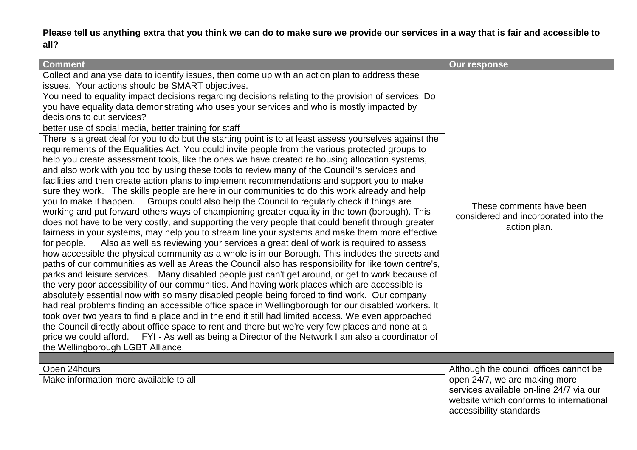**Please tell us anything extra that you think we can do to make sure we provide our services in a way that is fair and accessible to all?** 

| <b>Comment</b>                                                                                                                                                                                                                                                                                                                                                                                                                                                                                                                                                                                                                                                                                                                                                                                                                                                                                                                                                                                                                                                                                                                                                                                                                                                                                                                                                                                  | <b>Our response</b>                                                |  |
|-------------------------------------------------------------------------------------------------------------------------------------------------------------------------------------------------------------------------------------------------------------------------------------------------------------------------------------------------------------------------------------------------------------------------------------------------------------------------------------------------------------------------------------------------------------------------------------------------------------------------------------------------------------------------------------------------------------------------------------------------------------------------------------------------------------------------------------------------------------------------------------------------------------------------------------------------------------------------------------------------------------------------------------------------------------------------------------------------------------------------------------------------------------------------------------------------------------------------------------------------------------------------------------------------------------------------------------------------------------------------------------------------|--------------------------------------------------------------------|--|
| Collect and analyse data to identify issues, then come up with an action plan to address these<br>issues. Your actions should be SMART objectives.<br>You need to equality impact decisions regarding decisions relating to the provision of services. Do<br>you have equality data demonstrating who uses your services and who is mostly impacted by<br>decisions to cut services?<br>better use of social media, better training for staff<br>There is a great deal for you to do but the starting point is to at least assess yourselves against the<br>requirements of the Equalities Act. You could invite people from the various protected groups to<br>help you create assessment tools, like the ones we have created re housing allocation systems,<br>and also work with you too by using these tools to review many of the Council"s services and<br>facilities and then create action plans to implement recommendations and support you to make<br>sure they work. The skills people are here in our communities to do this work already and help<br>you to make it happen. Groups could also help the Council to regularly check if things are                                                                                                                                                                                                                                  | These comments have been                                           |  |
| working and put forward others ways of championing greater equality in the town (borough). This<br>does not have to be very costly, and supporting the very people that could benefit through greater<br>fairness in your systems, may help you to stream line your systems and make them more effective<br>Also as well as reviewing your services a great deal of work is required to assess<br>for people.<br>how accessible the physical community as a whole is in our Borough. This includes the streets and<br>paths of our communities as well as Areas the Council also has responsibility for like town centre's,<br>parks and leisure services. Many disabled people just can't get around, or get to work because of<br>the very poor accessibility of our communities. And having work places which are accessible is<br>absolutely essential now with so many disabled people being forced to find work. Our company<br>had real problems finding an accessible office space in Wellingborough for our disabled workers. It<br>took over two years to find a place and in the end it still had limited access. We even approached<br>the Council directly about office space to rent and there but we're very few places and none at a<br>price we could afford. FYI - As well as being a Director of the Network I am also a coordinator of<br>the Wellingborough LGBT Alliance. | considered and incorporated into the<br>action plan.               |  |
|                                                                                                                                                                                                                                                                                                                                                                                                                                                                                                                                                                                                                                                                                                                                                                                                                                                                                                                                                                                                                                                                                                                                                                                                                                                                                                                                                                                                 |                                                                    |  |
| Open 24hours                                                                                                                                                                                                                                                                                                                                                                                                                                                                                                                                                                                                                                                                                                                                                                                                                                                                                                                                                                                                                                                                                                                                                                                                                                                                                                                                                                                    | Although the council offices cannot be                             |  |
| Make information more available to all                                                                                                                                                                                                                                                                                                                                                                                                                                                                                                                                                                                                                                                                                                                                                                                                                                                                                                                                                                                                                                                                                                                                                                                                                                                                                                                                                          | open 24/7, we are making more                                      |  |
|                                                                                                                                                                                                                                                                                                                                                                                                                                                                                                                                                                                                                                                                                                                                                                                                                                                                                                                                                                                                                                                                                                                                                                                                                                                                                                                                                                                                 | services available on-line 24/7 via our                            |  |
|                                                                                                                                                                                                                                                                                                                                                                                                                                                                                                                                                                                                                                                                                                                                                                                                                                                                                                                                                                                                                                                                                                                                                                                                                                                                                                                                                                                                 | website which conforms to international<br>accessibility standards |  |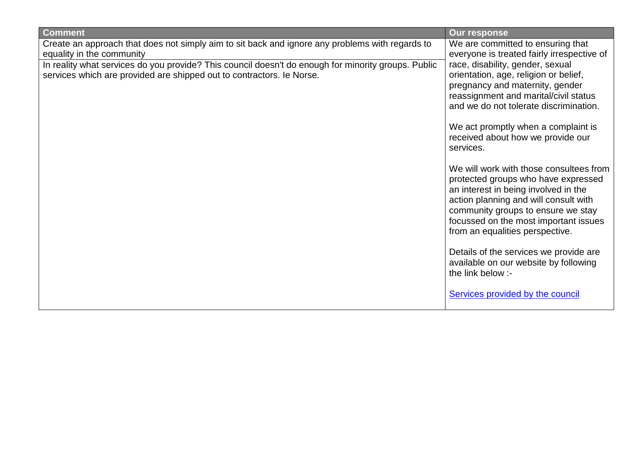| <b>Comment</b>                                                                                                                                                               | <b>Our response</b>                                                                                                                                                                                                                                                               |  |  |
|------------------------------------------------------------------------------------------------------------------------------------------------------------------------------|-----------------------------------------------------------------------------------------------------------------------------------------------------------------------------------------------------------------------------------------------------------------------------------|--|--|
| Create an approach that does not simply aim to sit back and ignore any problems with regards to<br>equality in the community                                                 | We are committed to ensuring that<br>everyone is treated fairly irrespective of                                                                                                                                                                                                   |  |  |
| In reality what services do you provide? This council doesn't do enough for minority groups. Public<br>services which are provided are shipped out to contractors. Ie Norse. | race, disability, gender, sexual<br>orientation, age, religion or belief,<br>pregnancy and maternity, gender<br>reassignment and marital/civil status<br>and we do not tolerate discrimination.<br>We act promptly when a complaint is                                            |  |  |
|                                                                                                                                                                              | received about how we provide our<br>services.                                                                                                                                                                                                                                    |  |  |
|                                                                                                                                                                              | We will work with those consultees from<br>protected groups who have expressed<br>an interest in being involved in the<br>action planning and will consult with<br>community groups to ensure we stay<br>focussed on the most important issues<br>from an equalities perspective. |  |  |
|                                                                                                                                                                              | Details of the services we provide are<br>available on our website by following<br>the link below :-                                                                                                                                                                              |  |  |
|                                                                                                                                                                              | Services provided by the council                                                                                                                                                                                                                                                  |  |  |